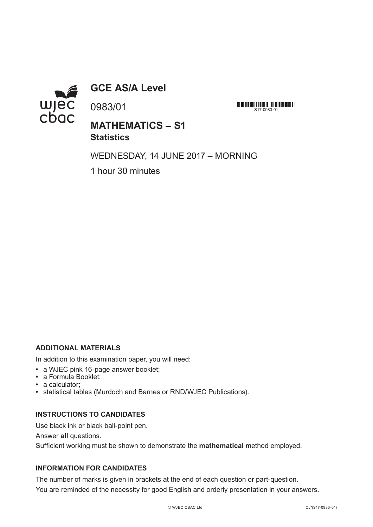

**GCE AS/A Level**

0983/01

<u> 111 | 111 | 1111 | 111 | 111 | 111 | 111 | 111 | 111 | 111 | 111 | 11</u>  $S17-0983-01$ 

# **MATHEMATICS – S1 Statistics**

WEDNESDAY, 14 JUNE 2017 – MORNING

1 hour 30 minutes

## **ADDITIONAL MATERIALS**

In addition to this examination paper, you will need:

- **•** a WJEC pink 16-page answer booklet;
- **•** a Formula Booklet;
- **•** a calculator;
- **•** statistical tables (Murdoch and Barnes or RND/WJEC Publications).

### **INSTRUCTIONS TO CANDIDATES**

Use black ink or black ball-point pen.

Answer **all** questions.

Sufficient working must be shown to demonstrate the **mathematical** method employed.

## **INFORMATION FOR CANDIDATES**

The number of marks is given in brackets at the end of each question or part-question. You are reminded of the necessity for good English and orderly presentation in your answers.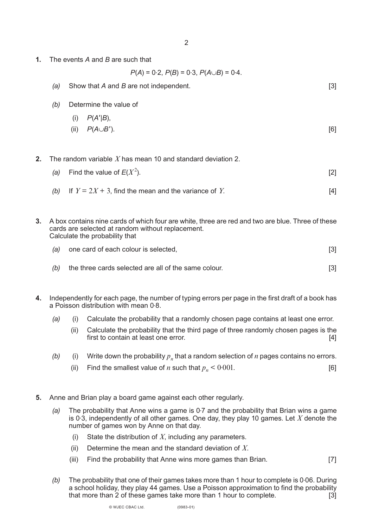**1.** The events *A* and *B* are such that

 $P(A) = 0.2$ ,  $P(B) = 0.3$ ,  $P(A \cup B) = 0.4$ .

| (a) | Show that A and B are not independent. | [3] |
|-----|----------------------------------------|-----|
| (b) | Determine the value of                 |     |
|     | $P(A' B)$ ,<br>(i)                     |     |
|     | $P(A\cup B')$ .<br>(ii)                | [6] |

**2.** The random variable *X* has mean 10 and standard deviation 2.

| (a) Find the value of $E(X^2)$ . | $\lceil 2 \rceil$ |
|----------------------------------|-------------------|
|                                  |                   |

- *(b)* If  $Y = 2X + 3$ , find the mean and the variance of *Y*.
- **3.** A box contains nine cards of which four are white, three are red and two are blue. Three of these cards are selected at random without replacement. Calculate the probability that
	- *(a)* one card of each colour is selected, **colour is a selected** of  $\overline{3}$
	- *(b)* the three cards selected are all of the same colour. *I***SI** [3]
- **4.** Independently for each page, the number of typing errors per page in the first draft of a book has a Poisson distribution with mean 0. 8.
	- *(a)* (i) Calculate the probability that a randomly chosen page contains at least one error.
		- (ii) Calculate the probability that the third page of three randomly chosen pages is the first to contain at least one error. [4]
	- *(b)* (i) Write down the probability  $p<sub>n</sub>$  that a random selection of *n* pages contains no errors.
		- (ii) Find the smallest value of *n* such that  $p_n < 0.001$ . 001. [6]
- **5.** Anne and Brian play a board game against each other regularly.
	- (a) The probability that Anne wins a game is 0.7 and the probability that Brian wins a game is 0. 3, independently of all other games. One day, they play 10 games. Let *X* denote the number of games won by Anne on that day.
		- (i) State the distribution of *X*, including any parameters.
		- (ii) Determine the mean and the standard deviation of *X*.
		- (iii) Find the probability that Anne wins more games than Brian. [7]
	- (b) The probability that one of their games takes more than 1 hour to complete is 0.06. During a school holiday, they play 44 games. Use a Poisson approximation to find the probability that more than 2 of these games take more than 1 hour to complete. [3]